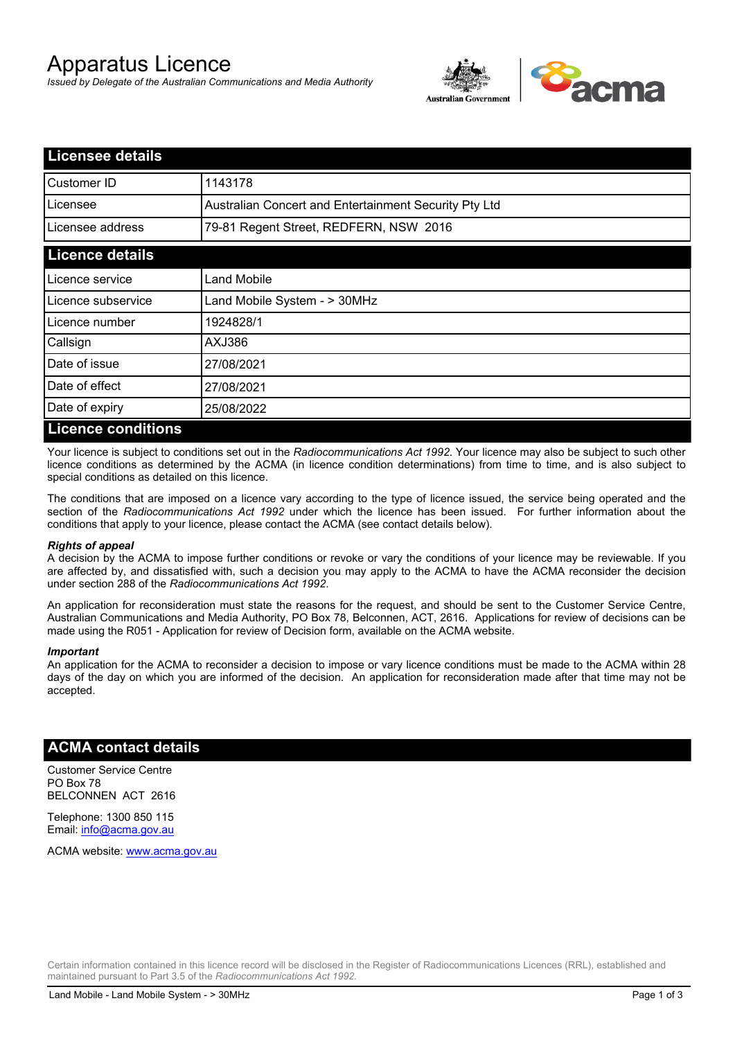# Apparatus Licence

*Issued by Delegate of the Australian Communications and Media Authority*



| Licensee details          |                                                       |
|---------------------------|-------------------------------------------------------|
| Customer ID               | 1143178                                               |
| Licensee                  | Australian Concert and Entertainment Security Pty Ltd |
| Licensee address          | 79-81 Regent Street, REDFERN, NSW 2016                |
| <b>Licence details</b>    |                                                       |
| Licence service           | <b>Land Mobile</b>                                    |
| Licence subservice        | Land Mobile System - > 30MHz                          |
| Licence number            | 1924828/1                                             |
| Callsign                  | AXJ386                                                |
| Date of issue             | 27/08/2021                                            |
| Date of effect            | 27/08/2021                                            |
| Date of expiry            | 25/08/2022                                            |
| <b>Licence conditions</b> |                                                       |

Your licence is subject to conditions set out in the *Radiocommunications Act 1992*. Your licence may also be subject to such other licence conditions as determined by the ACMA (in licence condition determinations) from time to time, and is also subject to special conditions as detailed on this licence.

The conditions that are imposed on a licence vary according to the type of licence issued, the service being operated and the section of the *Radiocommunications Act 1992* under which the licence has been issued. For further information about the conditions that apply to your licence, please contact the ACMA (see contact details below).

#### *Rights of appeal*

A decision by the ACMA to impose further conditions or revoke or vary the conditions of your licence may be reviewable. If you are affected by, and dissatisfied with, such a decision you may apply to the ACMA to have the ACMA reconsider the decision under section 288 of the *Radiocommunications Act 1992*.

An application for reconsideration must state the reasons for the request, and should be sent to the Customer Service Centre, Australian Communications and Media Authority, PO Box 78, Belconnen, ACT, 2616. Applications for review of decisions can be made using the R051 - Application for review of Decision form, available on the ACMA website.

#### *Important*

An application for the ACMA to reconsider a decision to impose or vary licence conditions must be made to the ACMA within 28 days of the day on which you are informed of the decision. An application for reconsideration made after that time may not be accepted.

### **ACMA contact details**

Customer Service Centre PO Box 78 BELCONNEN ACT 2616

Telephone: 1300 850 115 Email: info@acma.gov.au

ACMA website: www.acma.gov.au

Certain information contained in this licence record will be disclosed in the Register of Radiocommunications Licences (RRL), established and maintained pursuant to Part 3.5 of the *Radiocommunications Act 1992.*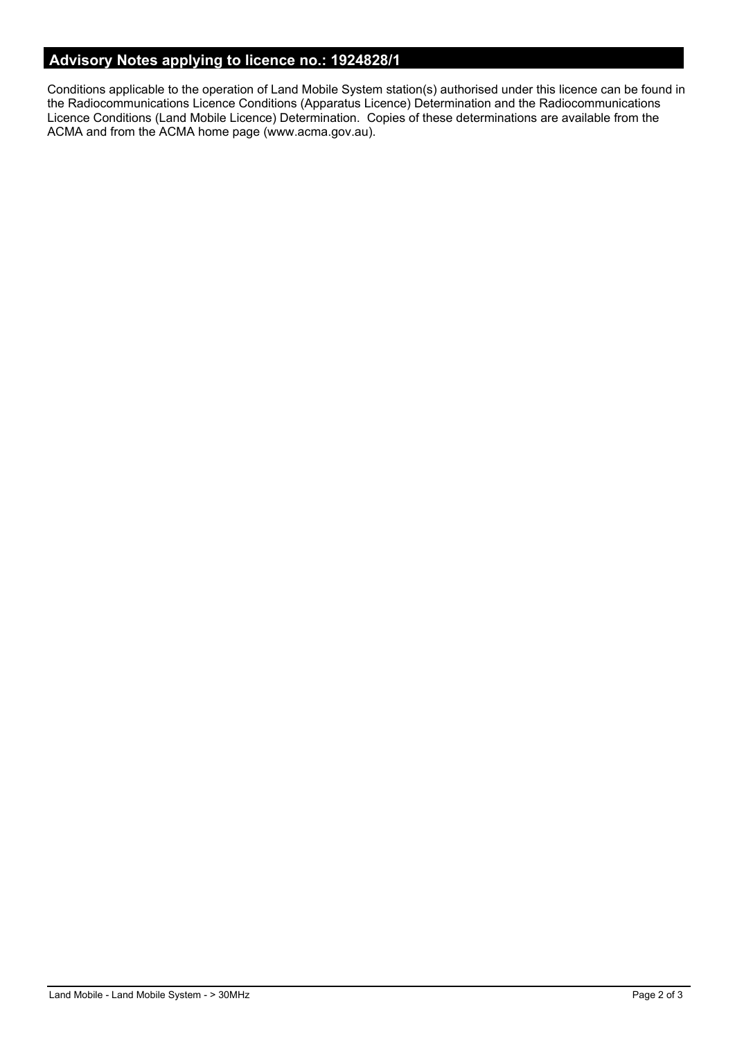# **Advisory Notes applying to licence no.: 1924828/1**

Conditions applicable to the operation of Land Mobile System station(s) authorised under this licence can be found in the Radiocommunications Licence Conditions (Apparatus Licence) Determination and the Radiocommunications Licence Conditions (Land Mobile Licence) Determination. Copies of these determinations are available from the ACMA and from the ACMA home page (www.acma.gov.au).